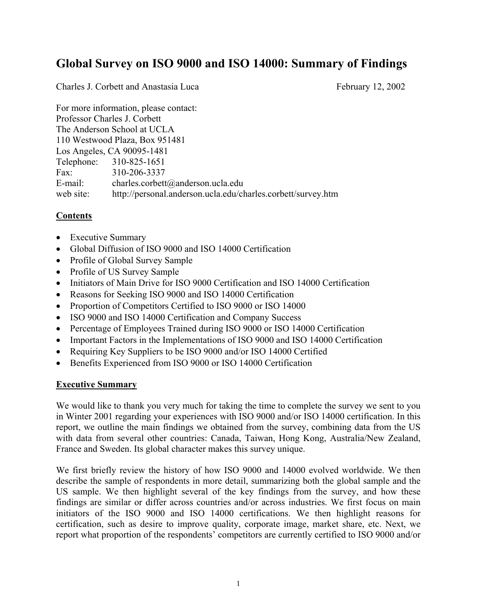# **Global Survey on ISO 9000 and ISO 14000: Summary of Findings**

Charles J. Corbett and Anastasia Luca February 12, 2002

For more information, please contact: Professor Charles J. Corbett The Anderson School at UCLA 110 Westwood Plaza, Box 951481 Los Angeles, CA 90095-1481 Telephone: 310-825-1651 Fax: 310-206-3337 E-mail: charles.corbett@anderson.ucla.edu web site: http://personal.anderson.ucla.edu/charles.corbett/survey.htm

# **Contents**

- Executive Summary
- Global Diffusion of ISO 9000 and ISO 14000 Certification
- Profile of Global Survey Sample
- Profile of US Survey Sample
- Initiators of Main Drive for ISO 9000 Certification and ISO 14000 Certification
- Reasons for Seeking ISO 9000 and ISO 14000 Certification
- Proportion of Competitors Certified to ISO 9000 or ISO 14000
- ISO 9000 and ISO 14000 Certification and Company Success
- Percentage of Employees Trained during ISO 9000 or ISO 14000 Certification
- Important Factors in the Implementations of ISO 9000 and ISO 14000 Certification
- Requiring Key Suppliers to be ISO 9000 and/or ISO 14000 Certified
- Benefits Experienced from ISO 9000 or ISO 14000 Certification

# **Executive Summary**

We would like to thank you very much for taking the time to complete the survey we sent to you in Winter 2001 regarding your experiences with ISO 9000 and/or ISO 14000 certification. In this report, we outline the main findings we obtained from the survey, combining data from the US with data from several other countries: Canada, Taiwan, Hong Kong, Australia/New Zealand, France and Sweden. Its global character makes this survey unique.

We first briefly review the history of how ISO 9000 and 14000 evolved worldwide. We then describe the sample of respondents in more detail, summarizing both the global sample and the US sample. We then highlight several of the key findings from the survey, and how these findings are similar or differ across countries and/or across industries. We first focus on main initiators of the ISO 9000 and ISO 14000 certifications. We then highlight reasons for certification, such as desire to improve quality, corporate image, market share, etc. Next, we report what proportion of the respondents' competitors are currently certified to ISO 9000 and/or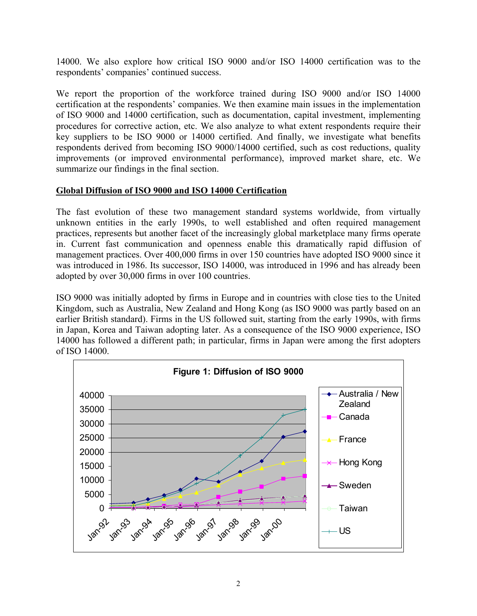14000. We also explore how critical ISO 9000 and/or ISO 14000 certification was to the respondents' companies' continued success.

We report the proportion of the workforce trained during ISO 9000 and/or ISO 14000 certification at the respondents' companies. We then examine main issues in the implementation of ISO 9000 and 14000 certification, such as documentation, capital investment, implementing procedures for corrective action, etc. We also analyze to what extent respondents require their key suppliers to be ISO 9000 or 14000 certified. And finally, we investigate what benefits respondents derived from becoming ISO 9000/14000 certified, such as cost reductions, quality improvements (or improved environmental performance), improved market share, etc. We summarize our findings in the final section.

# **Global Diffusion of ISO 9000 and ISO 14000 Certification**

The fast evolution of these two management standard systems worldwide, from virtually unknown entities in the early 1990s, to well established and often required management practices, represents but another facet of the increasingly global marketplace many firms operate in. Current fast communication and openness enable this dramatically rapid diffusion of management practices. Over 400,000 firms in over 150 countries have adopted ISO 9000 since it was introduced in 1986. Its successor, ISO 14000, was introduced in 1996 and has already been adopted by over 30,000 firms in over 100 countries.

ISO 9000 was initially adopted by firms in Europe and in countries with close ties to the United Kingdom, such as Australia, New Zealand and Hong Kong (as ISO 9000 was partly based on an earlier British standard). Firms in the US followed suit, starting from the early 1990s, with firms in Japan, Korea and Taiwan adopting later. As a consequence of the ISO 9000 experience, ISO 14000 has followed a different path; in particular, firms in Japan were among the first adopters of ISO 14000.

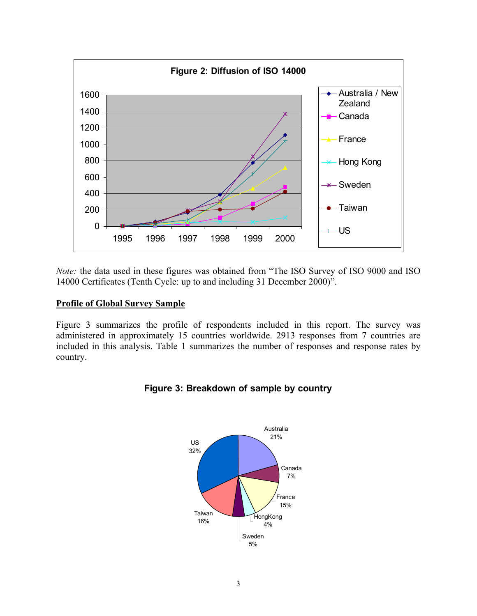

*Note:* the data used in these figures was obtained from "The ISO Survey of ISO 9000 and ISO 14000 Certificates (Tenth Cycle: up to and including 31 December 2000)".

# **Profile of Global Survey Sample**

Figure 3 summarizes the profile of respondents included in this report. The survey was administered in approximately 15 countries worldwide. 2913 responses from 7 countries are included in this analysis. Table 1 summarizes the number of responses and response rates by country.



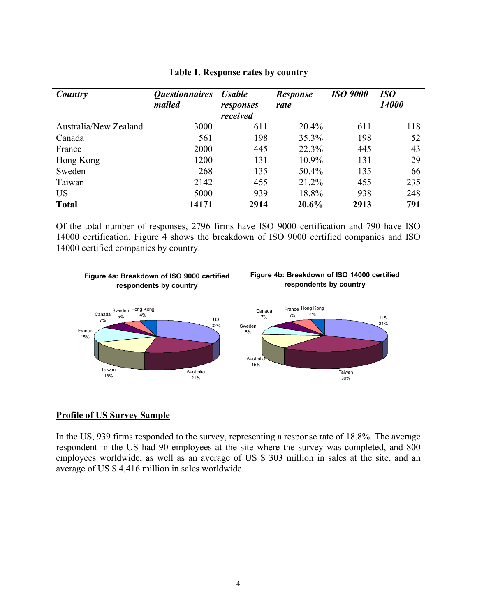| Country               | <i><b>Questionnaires</b></i> |                       | <b>Response</b> | <b>ISO 9000</b> | <b>ISO</b> |
|-----------------------|------------------------------|-----------------------|-----------------|-----------------|------------|
|                       | mailed                       | responses<br>received | rate            |                 | 14000      |
| Australia/New Zealand | 3000                         | 611                   | 20.4%           | 611             | 118        |
| Canada                | 561                          | 198                   | $35.3\%$        | 198             | 52         |
| France                | 2000                         | 445                   | 22.3%           | 445             | 43         |
| Hong Kong             | 1200                         | 131                   | $10.9\%$        | 131             | 29         |
| Sweden                | 268                          | 135                   | 50.4%           | 135             | 66         |
| Taiwan                | 2142                         | 455                   | 21.2%           | 455             | 235        |
| <b>US</b>             | 5000                         | 939                   | 18.8%           | 938             | 248        |
| <b>Total</b>          | 14171                        | 2914                  | 20.6%           | 2913            | 791        |

#### **Table 1. Response rates by country**

Of the total number of responses, 2796 firms have ISO 9000 certification and 790 have ISO 14000 certification. Figure 4 shows the breakdown of ISO 9000 certified companies and ISO 14000 certified companies by country.

#### **Figure 4a: Breakdown of ISO 9000 certified respondents by country**





#### **Profile of US Survey Sample**

In the US, 939 firms responded to the survey, representing a response rate of 18.8%. The average respondent in the US had 90 employees at the site where the survey was completed, and 800 employees worldwide, as well as an average of US \$ 303 million in sales at the site, and an average of US \$ 4,416 million in sales worldwide.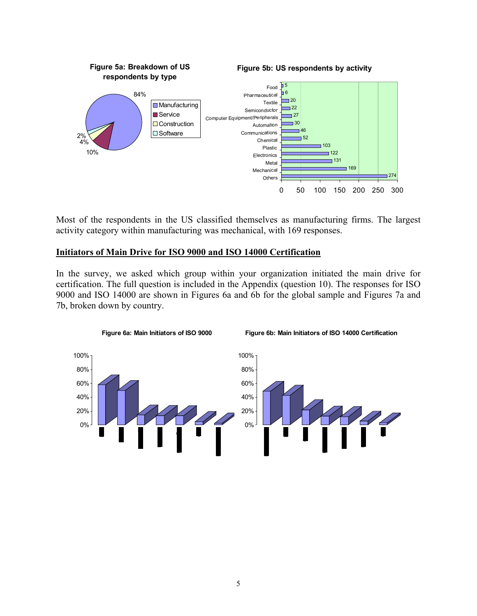

Most of the respondents in the US classified themselves as manufacturing firms. The largest activity category within manufacturing was mechanical, with 169 responses.

# **Initiators of Main Drive for ISO 9000 and ISO 14000 Certification**

In the survey, we asked which group within your organization initiated the main drive for certification. The full question is included in the Appendix (question 10). The responses for ISO 9000 and ISO 14000 are shown in Figures 6a and 6b for the global sample and Figures 7a and 7b, broken down by country.





**Figure 6b: Main Initiators of ISO 14000 Certification**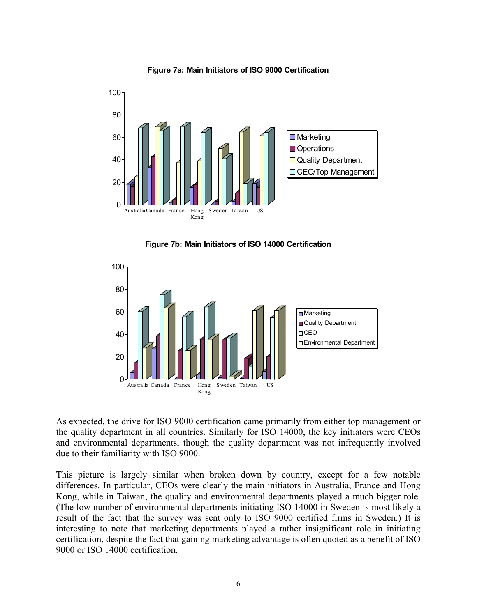

**Figure 7a: Main Initiators of ISO 9000 Certification**

**Figure 7b: Main Initiators of ISO 14000 Certification**



As expected, the drive for ISO 9000 certification came primarily from either top management or the quality department in all countries. Similarly for ISO 14000, the key initiators were CEOs and environmental departments, though the quality department was not infrequently involved due to their familiarity with ISO 9000.

This picture is largely similar when broken down by country, except for a few notable differences. In particular, CEOs were clearly the main initiators in Australia, France and Hong Kong, while in Taiwan, the quality and environmental departments played a much bigger role. (The low number of environmental departments initiating ISO 14000 in Sweden is most likely a result of the fact that the survey was sent only to ISO 9000 certified firms in Sweden.) It is interesting to note that marketing departments played a rather insignificant role in initiating certification, despite the fact that gaining marketing advantage is often quoted as a benefit of ISO 9000 or ISO 14000 certification.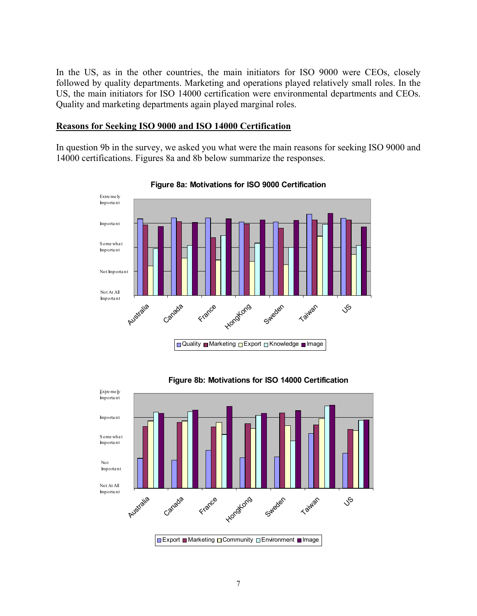In the US, as in the other countries, the main initiators for ISO 9000 were CEOs, closely followed by quality departments. Marketing and operations played relatively small roles. In the US, the main initiators for ISO 14000 certification were environmental departments and CEOs. Quality and marketing departments again played marginal roles.

#### **Reasons for Seeking ISO 9000 and ISO 14000 Certification**

In question 9b in the survey, we asked you what were the main reasons for seeking ISO 9000 and 14000 certifications. Figures 8a and 8b below summarize the responses.



**Figure 8a: Motivations for ISO 9000 Certification**



# **Figure 8b: Motivations for ISO 14000 Certification**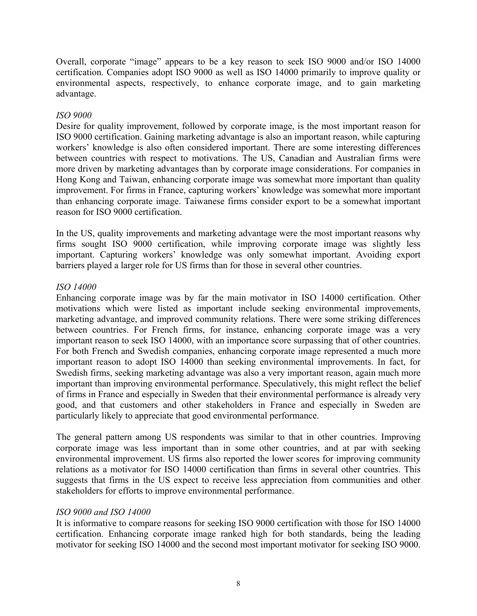Overall, corporate "image" appears to be a key reason to seek ISO 9000 and/or ISO 14000 certification. Companies adopt ISO 9000 as well as ISO 14000 primarily to improve quality or environmental aspects, respectively, to enhance corporate image, and to gain marketing advantage.

# *ISO 9000*

Desire for quality improvement, followed by corporate image, is the most important reason for ISO 9000 certification. Gaining marketing advantage is also an important reason, while capturing workers' knowledge is also often considered important. There are some interesting differences between countries with respect to motivations. The US, Canadian and Australian firms were more driven by marketing advantages than by corporate image considerations. For companies in Hong Kong and Taiwan, enhancing corporate image was somewhat more important than quality improvement. For firms in France, capturing workers' knowledge was somewhat more important than enhancing corporate image. Taiwanese firms consider export to be a somewhat important reason for ISO 9000 certification.

In the US, quality improvements and marketing advantage were the most important reasons why firms sought ISO 9000 certification, while improving corporate image was slightly less important. Capturing workers' knowledge was only somewhat important. Avoiding export barriers played a larger role for US firms than for those in several other countries.

# *ISO 14000*

Enhancing corporate image was by far the main motivator in ISO 14000 certification. Other motivations which were listed as important include seeking environmental improvements, marketing advantage, and improved community relations. There were some striking differences between countries. For French firms, for instance, enhancing corporate image was a very important reason to seek ISO 14000, with an importance score surpassing that of other countries. For both French and Swedish companies, enhancing corporate image represented a much more important reason to adopt ISO 14000 than seeking environmental improvements. In fact, for Swedish firms, seeking marketing advantage was also a very important reason, again much more important than improving environmental performance. Speculatively, this might reflect the belief of firms in France and especially in Sweden that their environmental performance is already very good, and that customers and other stakeholders in France and especially in Sweden are particularly likely to appreciate that good environmental performance.

The general pattern among US respondents was similar to that in other countries. Improving corporate image was less important than in some other countries, and at par with seeking environmental improvement. US firms also reported the lower scores for improving community relations as a motivator for ISO 14000 certification than firms in several other countries. This suggests that firms in the US expect to receive less appreciation from communities and other stakeholders for efforts to improve environmental performance.

#### *ISO 9000 and ISO 14000*

It is informative to compare reasons for seeking ISO 9000 certification with those for ISO 14000 certification. Enhancing corporate image ranked high for both standards, being the leading motivator for seeking ISO 14000 and the second most important motivator for seeking ISO 9000.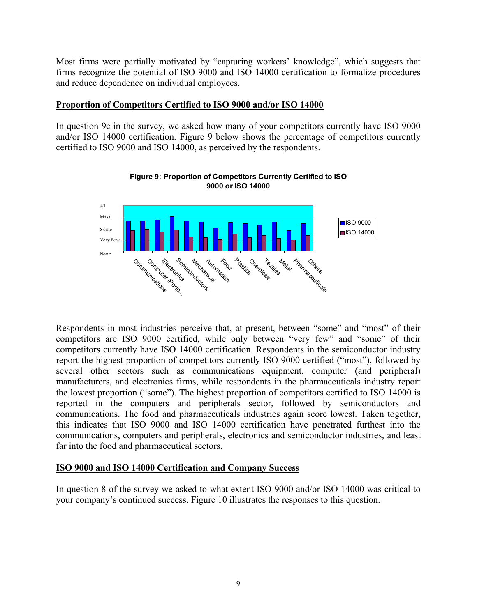Most firms were partially motivated by "capturing workers' knowledge", which suggests that firms recognize the potential of ISO 9000 and ISO 14000 certification to formalize procedures and reduce dependence on individual employees.

# **Proportion of Competitors Certified to ISO 9000 and/or ISO 14000**

In question 9c in the survey, we asked how many of your competitors currently have ISO 9000 and/or ISO 14000 certification. Figure 9 below shows the percentage of competitors currently certified to ISO 9000 and ISO 14000, as perceived by the respondents.



**Figure 9: Proportion of Competitors Currently Certified to ISO 9000 or ISO 14000**

Respondents in most industries perceive that, at present, between "some" and "most" of their competitors are ISO 9000 certified, while only between "very few" and "some" of their competitors currently have ISO 14000 certification. Respondents in the semiconductor industry report the highest proportion of competitors currently ISO 9000 certified ("most"), followed by several other sectors such as communications equipment, computer (and peripheral) manufacturers, and electronics firms, while respondents in the pharmaceuticals industry report the lowest proportion ("some"). The highest proportion of competitors certified to ISO 14000 is reported in the computers and peripherals sector, followed by semiconductors and communications. The food and pharmaceuticals industries again score lowest. Taken together, this indicates that ISO 9000 and ISO 14000 certification have penetrated furthest into the communications, computers and peripherals, electronics and semiconductor industries, and least far into the food and pharmaceutical sectors.

# **ISO 9000 and ISO 14000 Certification and Company Success**

In question 8 of the survey we asked to what extent ISO 9000 and/or ISO 14000 was critical to your company's continued success. Figure 10 illustrates the responses to this question.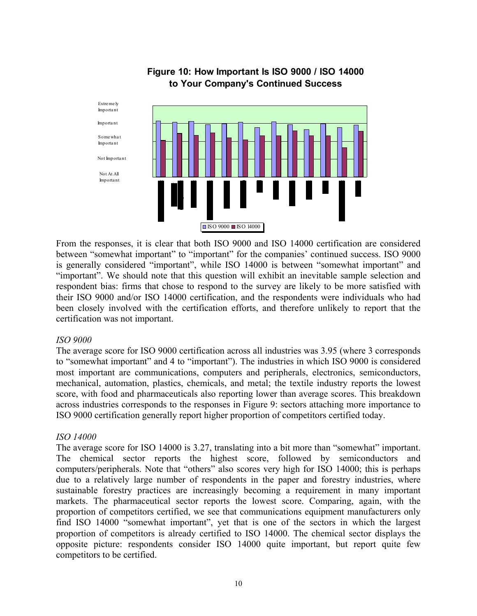

# **Figure 10: How Important Is ISO 9000 / ISO 14000 to Your Company's Continued Success**

From the responses, it is clear that both ISO 9000 and ISO 14000 certification are considered between "somewhat important" to "important" for the companies' continued success. ISO 9000 is generally considered "important", while ISO 14000 is between "somewhat important" and "important". We should note that this question will exhibit an inevitable sample selection and respondent bias: firms that chose to respond to the survey are likely to be more satisfied with their ISO 9000 and/or ISO 14000 certification, and the respondents were individuals who had been closely involved with the certification efforts, and therefore unlikely to report that the certification was not important.

#### *ISO 9000*

The average score for ISO 9000 certification across all industries was 3.95 (where 3 corresponds to "somewhat important" and 4 to "important"). The industries in which ISO 9000 is considered most important are communications, computers and peripherals, electronics, semiconductors, mechanical, automation, plastics, chemicals, and metal; the textile industry reports the lowest score, with food and pharmaceuticals also reporting lower than average scores. This breakdown across industries corresponds to the responses in Figure 9: sectors attaching more importance to ISO 9000 certification generally report higher proportion of competitors certified today.

# *ISO 14000*

The average score for ISO 14000 is 3.27, translating into a bit more than "somewhat" important. The chemical sector reports the highest score, followed by semiconductors and computers/peripherals. Note that "others" also scores very high for ISO 14000; this is perhaps due to a relatively large number of respondents in the paper and forestry industries, where sustainable forestry practices are increasingly becoming a requirement in many important markets. The pharmaceutical sector reports the lowest score. Comparing, again, with the proportion of competitors certified, we see that communications equipment manufacturers only find ISO 14000 "somewhat important", yet that is one of the sectors in which the largest proportion of competitors is already certified to ISO 14000. The chemical sector displays the opposite picture: respondents consider ISO 14000 quite important, but report quite few competitors to be certified.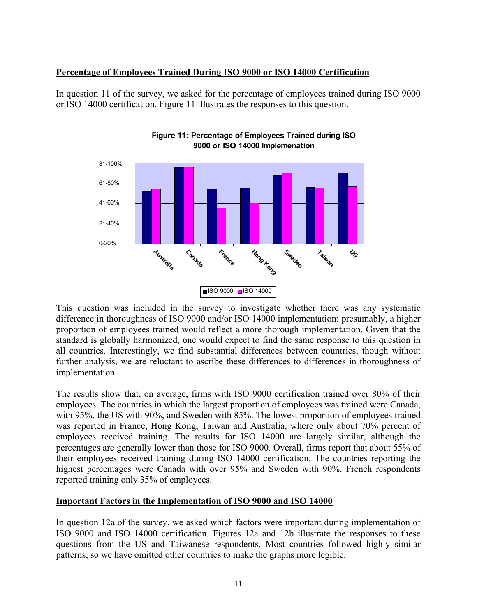# **Percentage of Employees Trained During ISO 9000 or ISO 14000 Certification**

In question 11 of the survey, we asked for the percentage of employees trained during ISO 9000 or ISO 14000 certification. Figure 11 illustrates the responses to this question.





This question was included in the survey to investigate whether there was any systematic difference in thoroughness of ISO 9000 and/or ISO 14000 implementation: presumably, a higher proportion of employees trained would reflect a more thorough implementation. Given that the standard is globally harmonized, one would expect to find the same response to this question in all countries. Interestingly, we find substantial differences between countries, though without further analysis, we are reluctant to ascribe these differences to differences in thoroughness of implementation.

The results show that, on average, firms with ISO 9000 certification trained over 80% of their employees. The countries in which the largest proportion of employees was trained were Canada, with 95%, the US with 90%, and Sweden with 85%. The lowest proportion of employees trained was reported in France, Hong Kong, Taiwan and Australia, where only about 70% percent of employees received training. The results for ISO 14000 are largely similar, although the percentages are generally lower than those for ISO 9000. Overall, firms report that about 55% of their employees received training during ISO 14000 certification. The countries reporting the highest percentages were Canada with over 95% and Sweden with 90%. French respondents reported training only 35% of employees.

# **Important Factors in the Implementation of ISO 9000 and ISO 14000**

In question 12a of the survey, we asked which factors were important during implementation of ISO 9000 and ISO 14000 certification. Figures 12a and 12b illustrate the responses to these questions from the US and Taiwanese respondents. Most countries followed highly similar patterns, so we have omitted other countries to make the graphs more legible.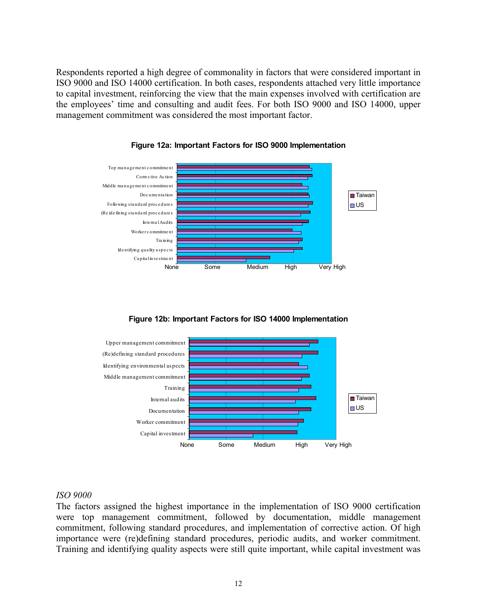Respondents reported a high degree of commonality in factors that were considered important in ISO 9000 and ISO 14000 certification. In both cases, respondents attached very little importance to capital investment, reinforcing the view that the main expenses involved with certification are the employees' time and consulting and audit fees. For both ISO 9000 and ISO 14000, upper management commitment was considered the most important factor.



**Figure 12a: Important Factors for ISO 9000 Implementation**

**Figure 12b: Important Factors for ISO 14000 Implementation**



#### *ISO 9000*

The factors assigned the highest importance in the implementation of ISO 9000 certification were top management commitment, followed by documentation, middle management commitment, following standard procedures, and implementation of corrective action. Of high importance were (re)defining standard procedures, periodic audits, and worker commitment. Training and identifying quality aspects were still quite important, while capital investment was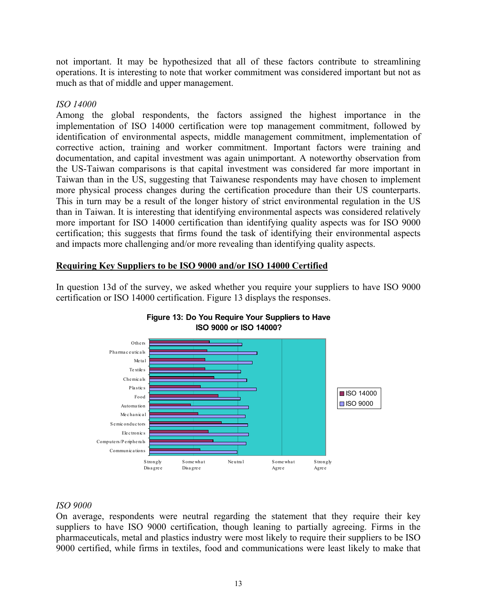not important. It may be hypothesized that all of these factors contribute to streamlining operations. It is interesting to note that worker commitment was considered important but not as much as that of middle and upper management.

# *ISO 14000*

Among the global respondents, the factors assigned the highest importance in the implementation of ISO 14000 certification were top management commitment, followed by identification of environmental aspects, middle management commitment, implementation of corrective action, training and worker commitment. Important factors were training and documentation, and capital investment was again unimportant. A noteworthy observation from the US-Taiwan comparisons is that capital investment was considered far more important in Taiwan than in the US, suggesting that Taiwanese respondents may have chosen to implement more physical process changes during the certification procedure than their US counterparts. This in turn may be a result of the longer history of strict environmental regulation in the US than in Taiwan. It is interesting that identifying environmental aspects was considered relatively more important for ISO 14000 certification than identifying quality aspects was for ISO 9000 certification; this suggests that firms found the task of identifying their environmental aspects and impacts more challenging and/or more revealing than identifying quality aspects.

# **Requiring Key Suppliers to be ISO 9000 and/or ISO 14000 Certified**

In question 13d of the survey, we asked whether you require your suppliers to have ISO 9000 certification or ISO 14000 certification. Figure 13 displays the responses.





#### *ISO 9000*

On average, respondents were neutral regarding the statement that they require their key suppliers to have ISO 9000 certification, though leaning to partially agreeing. Firms in the pharmaceuticals, metal and plastics industry were most likely to require their suppliers to be ISO 9000 certified, while firms in textiles, food and communications were least likely to make that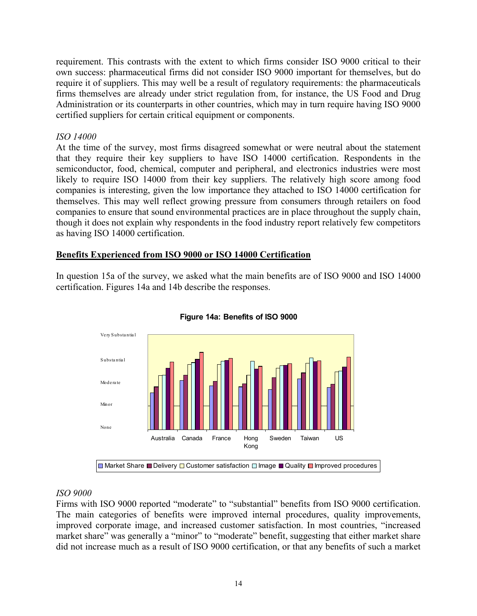requirement. This contrasts with the extent to which firms consider ISO 9000 critical to their own success: pharmaceutical firms did not consider ISO 9000 important for themselves, but do require it of suppliers. This may well be a result of regulatory requirements: the pharmaceuticals firms themselves are already under strict regulation from, for instance, the US Food and Drug Administration or its counterparts in other countries, which may in turn require having ISO 9000 certified suppliers for certain critical equipment or components.

# *ISO 14000*

At the time of the survey, most firms disagreed somewhat or were neutral about the statement that they require their key suppliers to have ISO 14000 certification. Respondents in the semiconductor, food, chemical, computer and peripheral, and electronics industries were most likely to require ISO 14000 from their key suppliers. The relatively high score among food companies is interesting, given the low importance they attached to ISO 14000 certification for themselves. This may well reflect growing pressure from consumers through retailers on food companies to ensure that sound environmental practices are in place throughout the supply chain, though it does not explain why respondents in the food industry report relatively few competitors as having ISO 14000 certification.

# **Benefits Experienced from ISO 9000 or ISO 14000 Certification**

In question 15a of the survey, we asked what the main benefits are of ISO 9000 and ISO 14000 certification. Figures 14a and 14b describe the responses.



#### **Figure 14a: Benefits of ISO 9000**

#### *ISO 9000*

Firms with ISO 9000 reported "moderate" to "substantial" benefits from ISO 9000 certification. The main categories of benefits were improved internal procedures, quality improvements, improved corporate image, and increased customer satisfaction. In most countries, "increased market share" was generally a "minor" to "moderate" benefit, suggesting that either market share did not increase much as a result of ISO 9000 certification, or that any benefits of such a market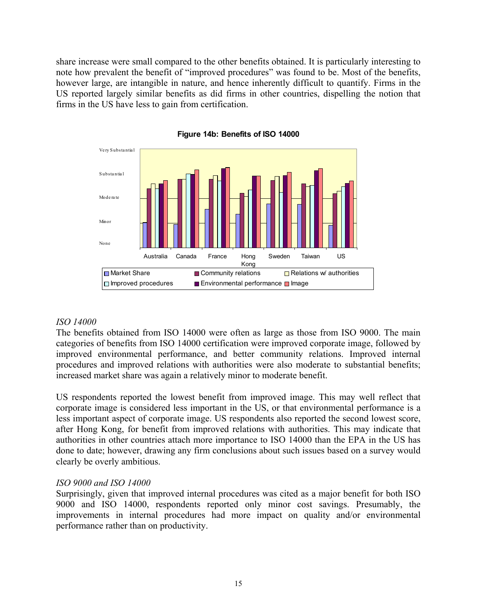share increase were small compared to the other benefits obtained. It is particularly interesting to note how prevalent the benefit of "improved procedures" was found to be. Most of the benefits, however large, are intangible in nature, and hence inherently difficult to quantify. Firms in the US reported largely similar benefits as did firms in other countries, dispelling the notion that firms in the US have less to gain from certification.



#### **Figure 14b: Benefits of ISO 14000**

#### *ISO 14000*

The benefits obtained from ISO 14000 were often as large as those from ISO 9000. The main categories of benefits from ISO 14000 certification were improved corporate image, followed by improved environmental performance, and better community relations. Improved internal procedures and improved relations with authorities were also moderate to substantial benefits; increased market share was again a relatively minor to moderate benefit.

US respondents reported the lowest benefit from improved image. This may well reflect that corporate image is considered less important in the US, or that environmental performance is a less important aspect of corporate image. US respondents also reported the second lowest score, after Hong Kong, for benefit from improved relations with authorities. This may indicate that authorities in other countries attach more importance to ISO 14000 than the EPA in the US has done to date; however, drawing any firm conclusions about such issues based on a survey would clearly be overly ambitious.

#### *ISO 9000 and ISO 14000*

Surprisingly, given that improved internal procedures was cited as a major benefit for both ISO 9000 and ISO 14000, respondents reported only minor cost savings. Presumably, the improvements in internal procedures had more impact on quality and/or environmental performance rather than on productivity.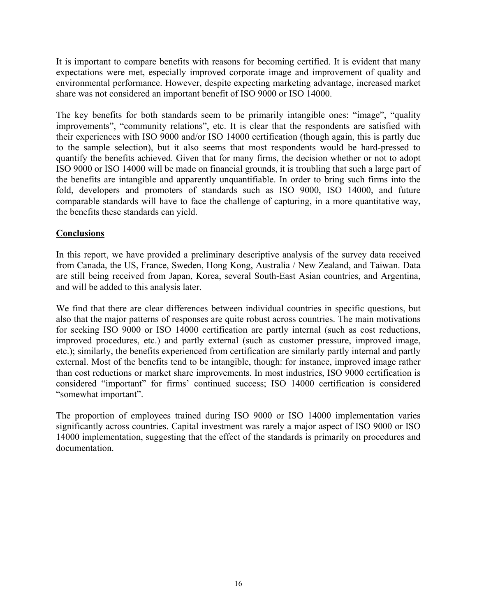It is important to compare benefits with reasons for becoming certified. It is evident that many expectations were met, especially improved corporate image and improvement of quality and environmental performance. However, despite expecting marketing advantage, increased market share was not considered an important benefit of ISO 9000 or ISO 14000.

The key benefits for both standards seem to be primarily intangible ones: "image", "quality improvements", "community relations", etc. It is clear that the respondents are satisfied with their experiences with ISO 9000 and/or ISO 14000 certification (though again, this is partly due to the sample selection), but it also seems that most respondents would be hard-pressed to quantify the benefits achieved. Given that for many firms, the decision whether or not to adopt ISO 9000 or ISO 14000 will be made on financial grounds, it is troubling that such a large part of the benefits are intangible and apparently unquantifiable. In order to bring such firms into the fold, developers and promoters of standards such as ISO 9000, ISO 14000, and future comparable standards will have to face the challenge of capturing, in a more quantitative way, the benefits these standards can yield.

# **Conclusions**

In this report, we have provided a preliminary descriptive analysis of the survey data received from Canada, the US, France, Sweden, Hong Kong, Australia / New Zealand, and Taiwan. Data are still being received from Japan, Korea, several South-East Asian countries, and Argentina, and will be added to this analysis later.

We find that there are clear differences between individual countries in specific questions, but also that the major patterns of responses are quite robust across countries. The main motivations for seeking ISO 9000 or ISO 14000 certification are partly internal (such as cost reductions, improved procedures, etc.) and partly external (such as customer pressure, improved image, etc.); similarly, the benefits experienced from certification are similarly partly internal and partly external. Most of the benefits tend to be intangible, though: for instance, improved image rather than cost reductions or market share improvements. In most industries, ISO 9000 certification is considered "important" for firms' continued success; ISO 14000 certification is considered "somewhat important".

The proportion of employees trained during ISO 9000 or ISO 14000 implementation varies significantly across countries. Capital investment was rarely a major aspect of ISO 9000 or ISO 14000 implementation, suggesting that the effect of the standards is primarily on procedures and documentation.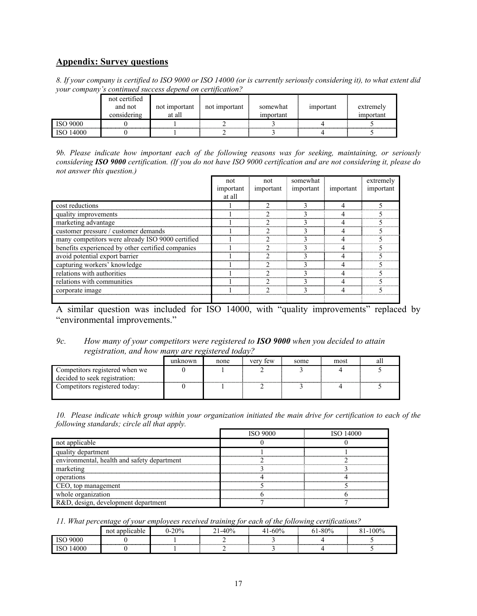# **Appendix: Survey questions**

*8. If your company is certified to ISO 9000 or ISO 14000 (or is currently seriously considering it), to what extent did your company's continued success depend on certification?* 

|                 | not certified<br>and not<br>considering | not important<br>at all | not important | somewhat<br>important | important | extremely<br>important |
|-----------------|-----------------------------------------|-------------------------|---------------|-----------------------|-----------|------------------------|
| <b>ISO 9000</b> |                                         |                         |               |                       |           |                        |
| ISO 14000       |                                         |                         |               |                       |           |                        |

*9b. Please indicate how important each of the following reasons was for seeking, maintaining, or seriously considering ISO 9000 certification. (If you do not have ISO 9000 certification and are not considering it, please do not answer this question.)*

|                                                   | not<br>important<br>at all | not<br>important | somewhat<br>important | important | extremely<br>important |
|---------------------------------------------------|----------------------------|------------------|-----------------------|-----------|------------------------|
| cost reductions                                   |                            |                  |                       |           |                        |
| quality improvements                              |                            |                  |                       |           |                        |
| marketing advantage                               |                            |                  |                       |           |                        |
| customer pressure / customer demands              |                            |                  |                       |           |                        |
| many competitors were already ISO 9000 certified  |                            |                  |                       |           |                        |
| benefits experienced by other certified companies |                            |                  |                       |           |                        |
| avoid potential export barrier                    |                            |                  |                       |           |                        |
| capturing workers' knowledge                      |                            |                  |                       |           |                        |
| relations with authorities                        |                            |                  |                       |           |                        |
| relations with communities                        |                            |                  |                       |           |                        |
| corporate image                                   |                            |                  |                       |           |                        |
|                                                   |                            |                  |                       |           |                        |

A similar question was included for ISO 14000, with "quality improvements" replaced by "environmental improvements."

#### *9c. How many of your competitors were registered to ISO 9000 when you decided to attain registration, and how many are registered today?*

|                                                                 | unknown | none | very few | some | most | all |
|-----------------------------------------------------------------|---------|------|----------|------|------|-----|
| Competitors registered when we<br>decided to seek registration: |         |      |          |      |      |     |
| Competitors registered today:                                   |         |      |          |      |      |     |

*10. Please indicate which group within your organization initiated the main drive for certification to each of the following standards; circle all that apply.* 

|                                             | <b>ISO 9000</b> | ISO 14000 |
|---------------------------------------------|-----------------|-----------|
| not applicable                              |                 |           |
| quality department                          |                 |           |
| environmental, health and safety department |                 |           |
| marketing                                   |                 |           |
| operations                                  |                 |           |
| CEO, top management                         |                 |           |
| whole organization                          |                 |           |
| R&D, design, development department         |                 |           |

*11. What percentage of your employees received training for each of the following certifications?* 

|      | 'icable<br>not | 20% | $-40%$<br>ΓV | .60% | $1 - 80\%$ | $100\%$ |
|------|----------------|-----|--------------|------|------------|---------|
| 9000 |                |     |              |      |            |         |
| .UUU |                |     |              |      |            |         |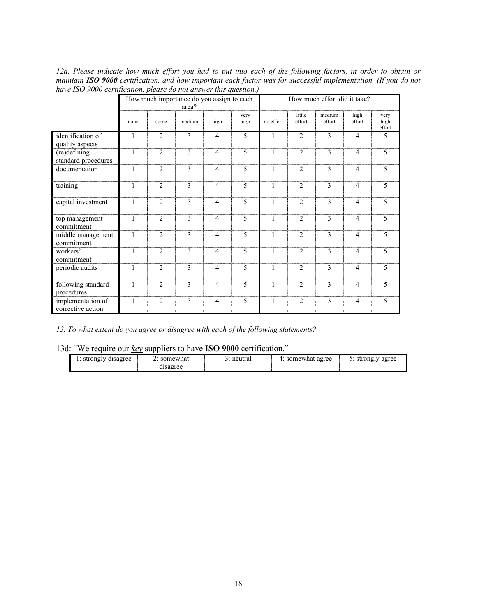*12a. Please indicate how much effort you had to put into each of the following factors, in order to obtain or maintain ISO 9000 certification, and how important each factor was for successful implementation. (If you do not have ISO 9000 certification, please do not answer this question.)*

|                                        | How much importance do you assign to each<br>area? |                |                |                |              |              | How much effort did it take? |                  |                |                        |  |
|----------------------------------------|----------------------------------------------------|----------------|----------------|----------------|--------------|--------------|------------------------------|------------------|----------------|------------------------|--|
|                                        | none                                               | some           | medium         | high           | very<br>high | no effort    | little<br>effort             | medium<br>effort | high<br>effort | very<br>high<br>effort |  |
| identification of<br>quality aspects   | 1                                                  | 2              | 3              | $\overline{4}$ | 5            | 1            | $\overline{2}$               | 3                | $\overline{4}$ | 5                      |  |
| (re)defining<br>standard procedures    | $\mathbf{1}$                                       | $\overline{2}$ | 3              | $\overline{4}$ | 5            | $\mathbf{1}$ | $\overline{2}$               | 3                | $\overline{4}$ | 5                      |  |
| documentation                          | 1                                                  | $\overline{2}$ | $\mathcal{E}$  | $\overline{4}$ | 5            | $\mathbf{1}$ | $\overline{c}$               | 3                | $\overline{4}$ | 5                      |  |
| training                               | $\mathbf{1}$                                       | $\overline{2}$ | $\mathbf{3}$   | $\overline{4}$ | 5            | $\mathbf{1}$ | 2                            | 3                | $\overline{4}$ | 5                      |  |
| capital investment                     | $\mathbf{1}$                                       | $\overline{2}$ | $\overline{3}$ | $\overline{4}$ | 5            | $\mathbf{1}$ | $\overline{c}$               | 3                | $\overline{4}$ | $\overline{5}$         |  |
| top management<br>commitment           | 1                                                  | $\overline{2}$ | 3              | $\overline{4}$ | 5            | $\mathbf{1}$ | $\overline{2}$               | 3                | $\overline{4}$ | 5                      |  |
| middle management<br>commitment        | $\mathbf{1}$                                       | $\overline{2}$ | 3              | $\overline{4}$ | 5            | $\mathbf{1}$ | $\overline{2}$               | 3                | $\overline{4}$ | 5                      |  |
| workers'<br>commitment                 | 1                                                  | $\overline{2}$ | 3              | $\overline{4}$ | 5            | $\mathbf{1}$ | $\overline{2}$               | 3                | $\overline{4}$ | 5                      |  |
| periodic audits                        | $\mathbf{1}$                                       | $\overline{2}$ | $\mathcal{E}$  | $\overline{4}$ | 5            | $\mathbf{1}$ | $\overline{2}$               | $\mathcal{E}$    | $\overline{4}$ | 5                      |  |
| following standard<br>procedures       | 1                                                  | $\overline{2}$ | 3              | 4              | 5            | 1            | $\overline{2}$               | 3                | $\overline{4}$ | 5                      |  |
| implementation of<br>corrective action | $\mathbf{1}$                                       | $\overline{2}$ | 3              | $\overline{4}$ | 5            | $\mathbf{1}$ | 2                            | 3                | $\overline{4}$ | 5                      |  |

*13. To what extent do you agree or disagree with each of the following statements?* 

13d: "We require our *key* suppliers to have **ISO 9000** certification."

| disagree<br>strongly | somewhat<br><u>.</u><br>disagree | neutral | somewhat agree | strongly agree<br>ັ. |
|----------------------|----------------------------------|---------|----------------|----------------------|